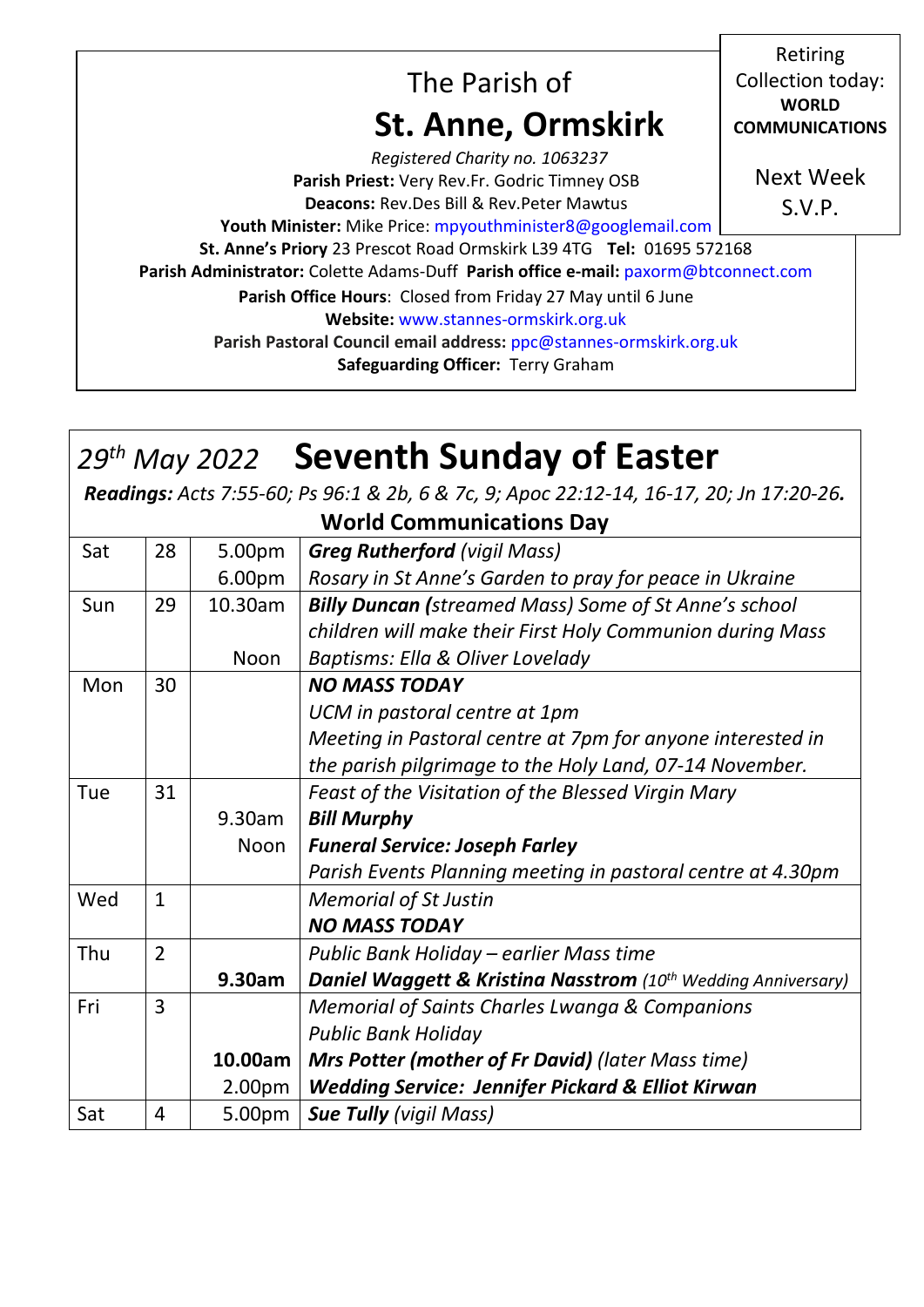| The Parish of<br><b>St. Anne, Ormskirk</b>                                                                                                                                                                                                                                                                                                                                     | Retiring<br>Collection today:<br><b>WORLD</b><br><b>COMMUNICATIONS</b> |  |  |
|--------------------------------------------------------------------------------------------------------------------------------------------------------------------------------------------------------------------------------------------------------------------------------------------------------------------------------------------------------------------------------|------------------------------------------------------------------------|--|--|
| Registered Charity no. 1063237<br>Parish Priest: Very Rev.Fr. Godric Timney OSB<br><b>Deacons: Rev.Des Bill &amp; Rev.Peter Mawtus</b><br>Youth Minister: Mike Price: mpyouthminister8@googlemail.com                                                                                                                                                                          | <b>Next Week</b><br>S.V.P.                                             |  |  |
| St. Anne's Priory 23 Prescot Road Ormskirk L39 4TG Tel: 01695 572168<br>Parish Administrator: Colette Adams-Duff Parish office e-mail: paxorm@btconnect.com<br>Parish Office Hours: Closed from Friday 27 May until 6 June<br>Website: www.stannes-ormskirk.org.uk<br>Parish Pastoral Council email address: ppc@stannes-ormskirk.org.uk<br>Safeguarding Officer: Terry Graham |                                                                        |  |  |

# *29th May 2022* **Seventh Sunday of Easter**

*Readings: Acts 7:55-60; Ps 96:1 & 2b, 6 & 7c, 9; Apoc 22:12-14, 16-17, 20; Jn 17:20-26.*

**World Communications Day**

| Sat | 28             | 5.00pm  | <b>Greg Rutherford (vigil Mass)</b>                                                  |
|-----|----------------|---------|--------------------------------------------------------------------------------------|
|     |                | 6.00pm  | Rosary in St Anne's Garden to pray for peace in Ukraine                              |
| Sun | 29             | 10.30am | <b>Billy Duncan (streamed Mass) Some of St Anne's school</b>                         |
|     |                |         | children will make their First Holy Communion during Mass                            |
|     |                | Noon    | Baptisms: Ella & Oliver Lovelady                                                     |
| Mon | 30             |         | <b>NO MASS TODAY</b>                                                                 |
|     |                |         | UCM in pastoral centre at 1pm                                                        |
|     |                |         | Meeting in Pastoral centre at 7pm for anyone interested in                           |
|     |                |         | the parish pilgrimage to the Holy Land, 07-14 November.                              |
| Tue | 31             |         | Feast of the Visitation of the Blessed Virgin Mary                                   |
|     |                | 9.30am  | <b>Bill Murphy</b>                                                                   |
|     |                | Noon    | <b>Funeral Service: Joseph Farley</b>                                                |
|     |                |         | Parish Events Planning meeting in pastoral centre at 4.30pm                          |
| Wed | $\mathbf{1}$   |         | <b>Memorial of St Justin</b>                                                         |
|     |                |         | <b>NO MASS TODAY</b>                                                                 |
| Thu | $\overline{2}$ |         | Public Bank Holiday - earlier Mass time                                              |
|     |                | 9.30am  | <b>Daniel Waggett &amp; Kristina Nasstrom</b> (10 <sup>th</sup> Wedding Anniversary) |
| Fri | 3              |         | <b>Memorial of Saints Charles Lwanga &amp; Companions</b>                            |
|     |                |         | <b>Public Bank Holiday</b>                                                           |
|     |                | 10.00am | <b>Mrs Potter (mother of Fr David)</b> (later Mass time)                             |
|     |                | 2.00pm  | <b>Wedding Service: Jennifer Pickard &amp; Elliot Kirwan</b>                         |
| Sat | 4              | 5.00pm  | <b>Sue Tully (vigil Mass)</b>                                                        |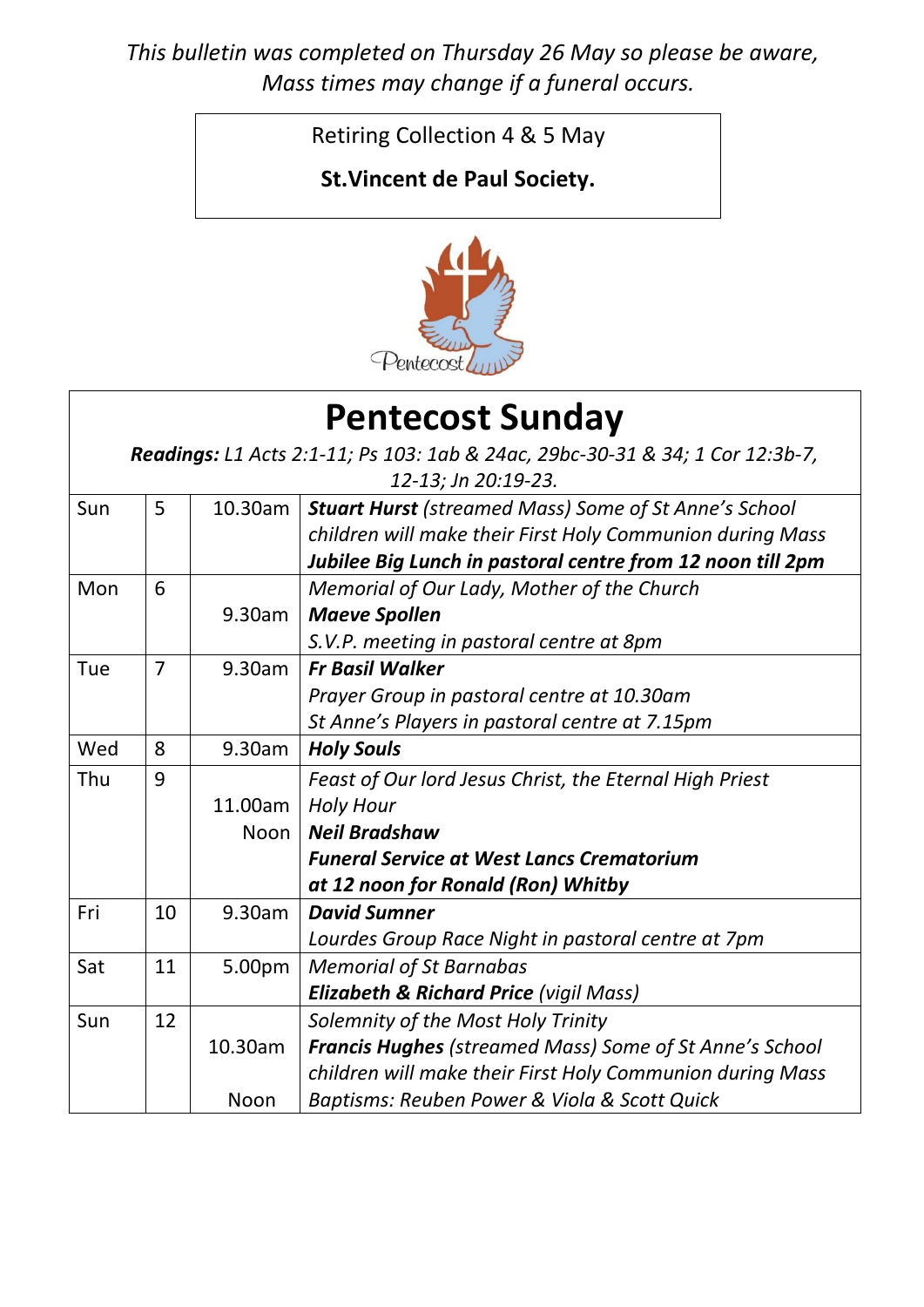*This bulletin was completed on Thursday 26 May so please be aware, Mass times may change if a funeral occurs.*

Retiring Collection 4 & 5 May

### **St.Vincent de Paul Society.**



| <b>Pentecost Sunday</b>                                                       |                     |             |                                                                |  |  |
|-------------------------------------------------------------------------------|---------------------|-------------|----------------------------------------------------------------|--|--|
| Readings: L1 Acts 2:1-11; Ps 103: 1ab & 24ac, 29bc-30-31 & 34; 1 Cor 12:3b-7, |                     |             |                                                                |  |  |
|                                                                               | 12-13; Jn 20:19-23. |             |                                                                |  |  |
| Sun                                                                           | 5                   | 10.30am     | <b>Stuart Hurst (streamed Mass) Some of St Anne's School</b>   |  |  |
|                                                                               |                     |             | children will make their First Holy Communion during Mass      |  |  |
|                                                                               |                     |             | Jubilee Big Lunch in pastoral centre from 12 noon till 2pm     |  |  |
| Mon                                                                           | 6                   |             | Memorial of Our Lady, Mother of the Church                     |  |  |
|                                                                               |                     | 9.30am      | <b>Maeve Spollen</b>                                           |  |  |
|                                                                               |                     |             | S.V.P. meeting in pastoral centre at 8pm                       |  |  |
| Tue                                                                           | $\overline{7}$      | 9.30am      | <b>Fr Basil Walker</b>                                         |  |  |
|                                                                               |                     |             | Prayer Group in pastoral centre at 10.30am                     |  |  |
|                                                                               |                     |             | St Anne's Players in pastoral centre at 7.15pm                 |  |  |
| Wed                                                                           | 8                   | 9.30am      | <b>Holy Souls</b>                                              |  |  |
| Thu                                                                           | 9                   |             | Feast of Our lord Jesus Christ, the Eternal High Priest        |  |  |
|                                                                               |                     | 11.00am     | <b>Holy Hour</b>                                               |  |  |
|                                                                               |                     | <b>Noon</b> | <b>Neil Bradshaw</b>                                           |  |  |
|                                                                               |                     |             | <b>Funeral Service at West Lancs Crematorium</b>               |  |  |
|                                                                               |                     |             | at 12 noon for Ronald (Ron) Whitby                             |  |  |
| Fri                                                                           | 10                  | 9.30am      | <b>David Sumner</b>                                            |  |  |
|                                                                               |                     |             | Lourdes Group Race Night in pastoral centre at 7pm             |  |  |
| Sat                                                                           | 11                  | 5.00pm      | <b>Memorial of St Barnabas</b>                                 |  |  |
|                                                                               |                     |             | <b>Elizabeth &amp; Richard Price (vigil Mass)</b>              |  |  |
| Sun                                                                           | 12                  |             | Solemnity of the Most Holy Trinity                             |  |  |
|                                                                               |                     | 10.30am     | <b>Francis Hughes (streamed Mass) Some of St Anne's School</b> |  |  |
|                                                                               |                     |             | children will make their First Holy Communion during Mass      |  |  |
|                                                                               |                     | Noon        | Baptisms: Reuben Power & Viola & Scott Quick                   |  |  |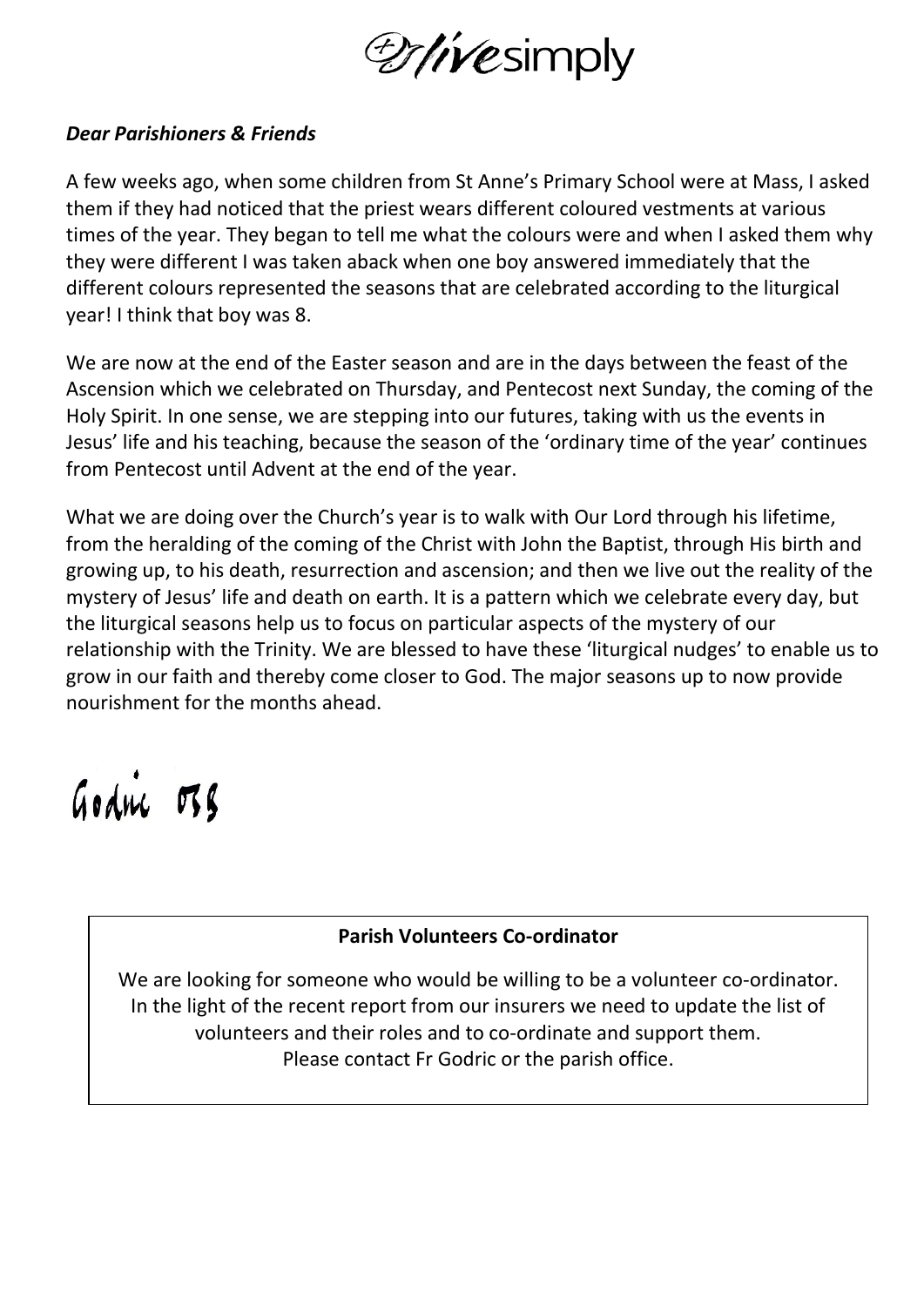

#### *Dear Parishioners & Friends*

A few weeks ago, when some children from St Anne's Primary School were at Mass, I asked them if they had noticed that the priest wears different coloured vestments at various times of the year. They began to tell me what the colours were and when I asked them why they were different I was taken aback when one boy answered immediately that the different colours represented the seasons that are celebrated according to the liturgical year! I think that boy was 8.

We are now at the end of the Easter season and are in the days between the feast of the Ascension which we celebrated on Thursday, and Pentecost next Sunday, the coming of the Holy Spirit. In one sense, we are stepping into our futures, taking with us the events in Jesus' life and his teaching, because the season of the 'ordinary time of the year' continues from Pentecost until Advent at the end of the year.

What we are doing over the Church's year is to walk with Our Lord through his lifetime, from the heralding of the coming of the Christ with John the Baptist, through His birth and growing up, to his death, resurrection and ascension; and then we live out the reality of the mystery of Jesus' life and death on earth. It is a pattern which we celebrate every day, but the liturgical seasons help us to focus on particular aspects of the mystery of our relationship with the Trinity. We are blessed to have these 'liturgical nudges' to enable us to grow in our faith and thereby come closer to God. The major seasons up to now provide nourishment for the months ahead.

Godric 038

#### **Parish Volunteers Co-ordinator**

We are looking for someone who would be willing to be a volunteer co-ordinator. In the light of the recent report from our insurers we need to update the list of volunteers and their roles and to co-ordinate and support them. Please contact Fr Godric or the parish office.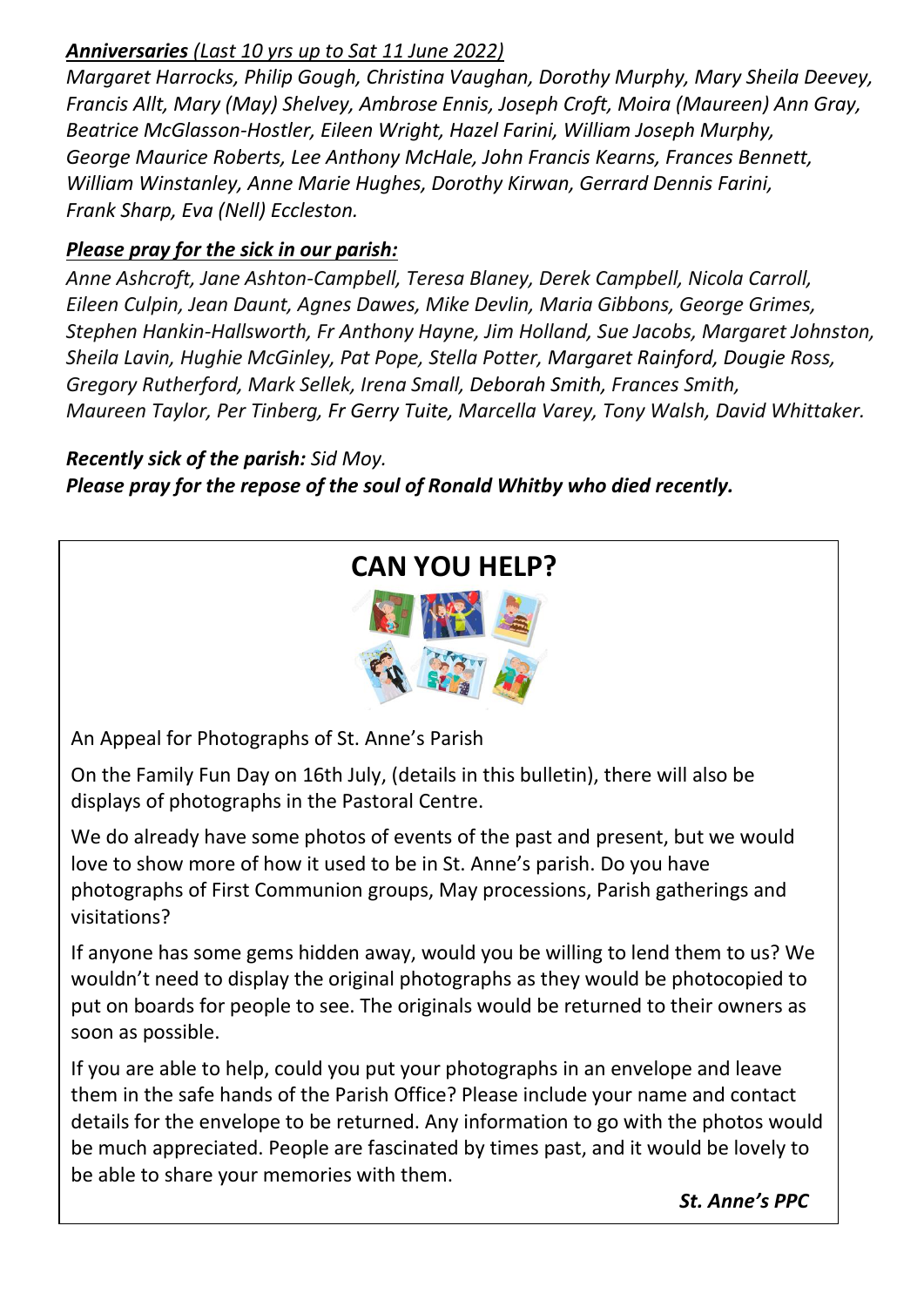#### *Anniversaries (Last 10 yrs up to Sat 11 June 2022)*

*Margaret Harrocks, Philip Gough, Christina Vaughan, Dorothy Murphy, Mary Sheila Deevey, Francis Allt, Mary (May) Shelvey, Ambrose Ennis, Joseph Croft, Moira (Maureen) Ann Gray, Beatrice McGlasson-Hostler, Eileen Wright, Hazel Farini, William Joseph Murphy, George Maurice Roberts, Lee Anthony McHale, John Francis Kearns, Frances Bennett, William Winstanley, Anne Marie Hughes, Dorothy Kirwan, Gerrard Dennis Farini, Frank Sharp, Eva (Nell) Eccleston.*

#### *Please pray for the sick in our parish:*

*Anne Ashcroft, Jane Ashton-Campbell, Teresa Blaney, Derek Campbell, Nicola Carroll, Eileen Culpin, Jean Daunt, Agnes Dawes, Mike Devlin, Maria Gibbons, George Grimes, Stephen Hankin-Hallsworth, Fr Anthony Hayne, Jim Holland, Sue Jacobs, Margaret Johnston, Sheila Lavin, Hughie McGinley, Pat Pope, Stella Potter, Margaret Rainford, Dougie Ross, Gregory Rutherford, Mark Sellek, Irena Small, Deborah Smith, Frances Smith, Maureen Taylor, Per Tinberg, Fr Gerry Tuite, Marcella Varey, Tony Walsh, David Whittaker.*

#### *Recently sick of the parish: Sid Moy. Please pray for the repose of the soul of Ronald Whitby who died recently.*

## **CAN YOU HELP?**



An Appeal for Photographs of St. Anne's Parish

On the Family Fun Day on 16th July, (details in this bulletin), there will also be displays of photographs in the Pastoral Centre.

We do already have some photos of events of the past and present, but we would love to show more of how it used to be in St. Anne's parish. Do you have photographs of First Communion groups, May processions, Parish gatherings and visitations?

If anyone has some gems hidden away, would you be willing to lend them to us? We wouldn't need to display the original photographs as they would be photocopied to put on boards for people to see. The originals would be returned to their owners as soon as possible.

If you are able to help, could you put your photographs in an envelope and leave them in the safe hands of the Parish Office? Please include your name and contact details for the envelope to be returned. Any information to go with the photos would be much appreciated. People are fascinated by times past, and it would be lovely to be able to share your memories with them.

*St. Anne's PPC*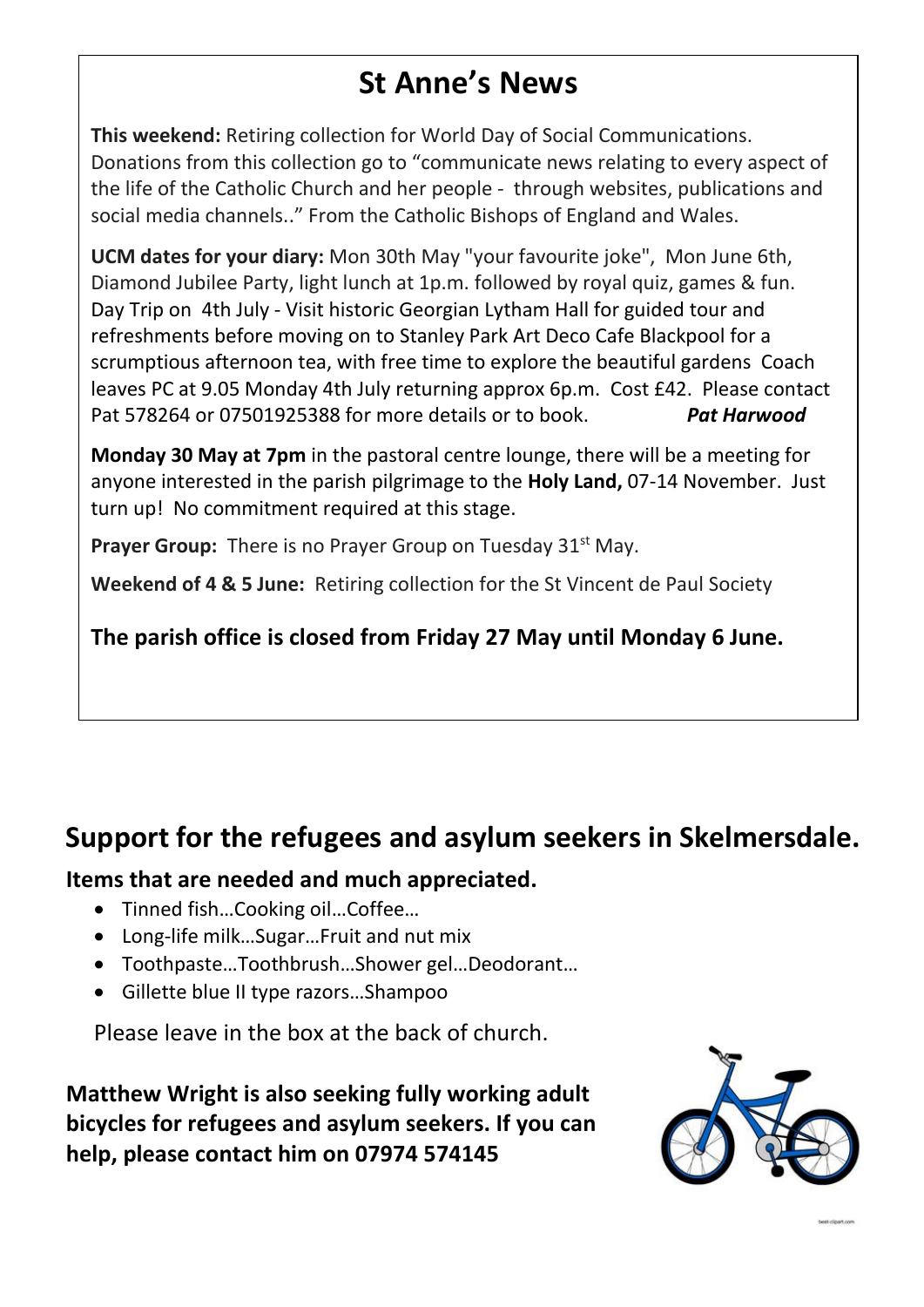## **St Anne's News**

**This weekend:** Retiring collection for World Day of Social Communications. Donations from this collection go to "communicate news relating to every aspect of the life of the Catholic Church and her people - through websites, publications and social media channels.." From the Catholic Bishops of England and Wales.

**UCM dates for your diary:** Mon 30th May "your favourite joke", Mon June 6th, Diamond Jubilee Party, light lunch at 1p.m. followed by royal quiz, games & fun. Day Trip on 4th July - Visit historic Georgian Lytham Hall for guided tour and refreshments before moving on to Stanley Park Art Deco Cafe Blackpool for a scrumptious afternoon tea, with free time to explore the beautiful gardens Coach leaves PC at 9.05 Monday 4th July returning approx 6p.m. Cost £42. Please contact Pat 578264 or 07501925388 for more details or to book. *Pat Harwood*

**Monday 30 May at 7pm** in the pastoral centre lounge, there will be a meeting for anyone interested in the parish pilgrimage to the **Holy Land,** 07-14 November. Just turn up! No commitment required at this stage.

**Prayer Group:** There is no Prayer Group on Tuesday 31<sup>st</sup> May.

**Weekend of 4 & 5 June:** Retiring collection for the St Vincent de Paul Society

**The parish office is closed from Friday 27 May until Monday 6 June.**

## **Support for the refugees and asylum seekers in Skelmersdale.**

#### **Items that are needed and much appreciated.**

- Tinned fish…Cooking oil…Coffee…
- Long-life milk…Sugar…Fruit and nut mix
- Toothpaste…Toothbrush…Shower gel…Deodorant…
- Gillette blue II type razors…Shampoo

Please leave in the box at the back of church.

**Matthew Wright is also seeking fully working adult bicycles for refugees and asylum seekers. If you can help, please contact him on 07974 574145**

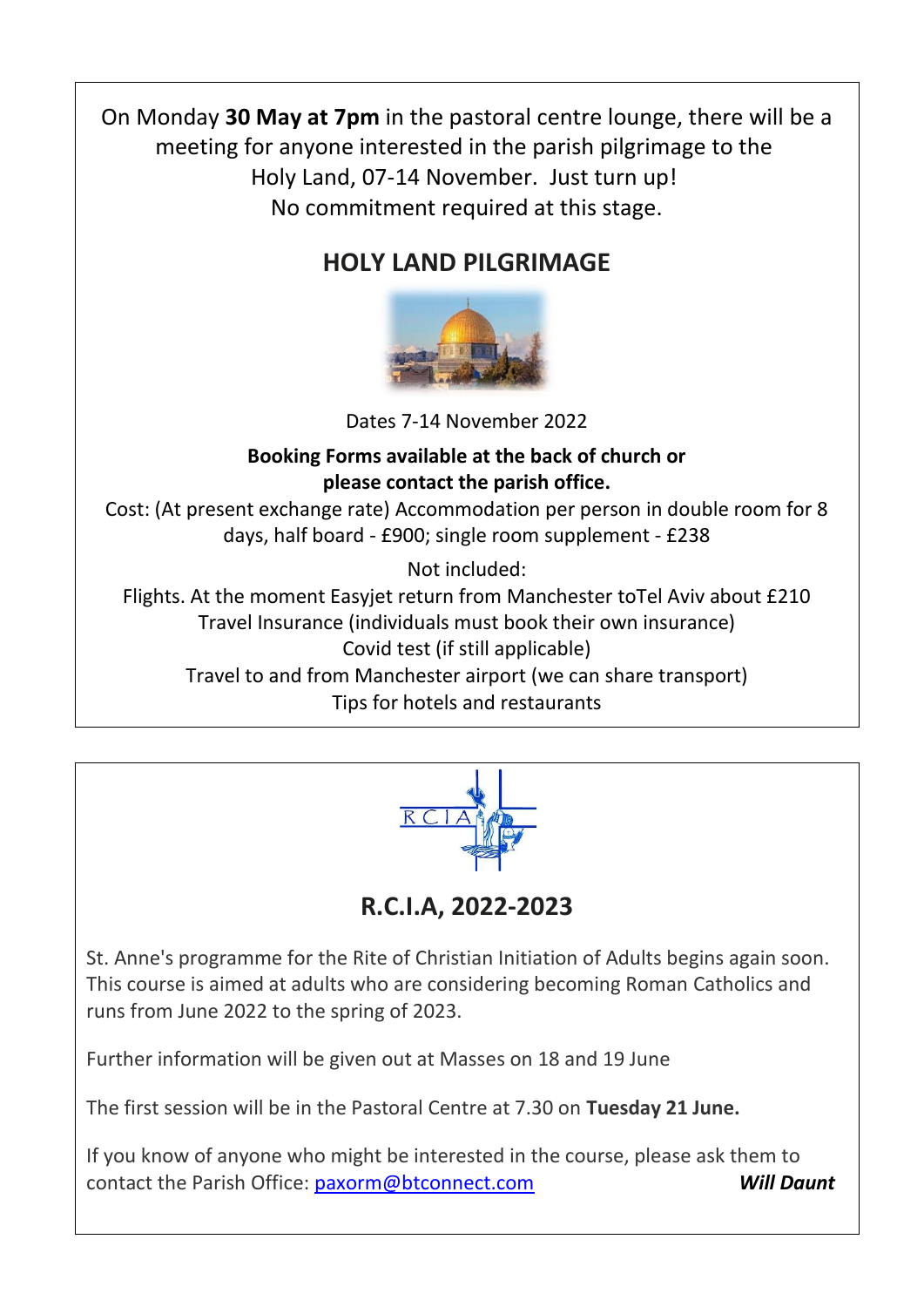On Monday **30 May at 7pm** in the pastoral centre lounge, there will be a meeting for anyone interested in the parish pilgrimage to the Holy Land, 07-14 November. Just turn up! No commitment required at this stage.

## **HOLY LAND PILGRIMAGE**



Dates 7-14 November 2022

#### **Booking Forms available at the back of church or please contact the parish office.**

Cost: (At present exchange rate) Accommodation per person in double room for 8 days, half board - £900; single room supplement - £238

Not included:

Flights. At the moment Easyjet return from Manchester toTel Aviv about £210 Travel Insurance (individuals must book their own insurance) Covid test (if still applicable) Travel to and from Manchester airport (we can share transport) Tips for hotels and restaurants



**R.C.I.A, 2022-2023**

St. Anne's programme for the Rite of Christian Initiation of Adults begins again soon. This course is aimed at adults who are considering becoming Roman Catholics and runs from June 2022 to the spring of 2023.

Further information will be given out at Masses on 18 and 19 June

The first session will be in the Pastoral Centre at 7.30 on **Tuesday 21 June.**

If you know of anyone who might be interested in the course, please ask them to contact the Parish Office: [paxorm@btconnect.com](mailto:paxorm@btconnect.com) *Will Daunt*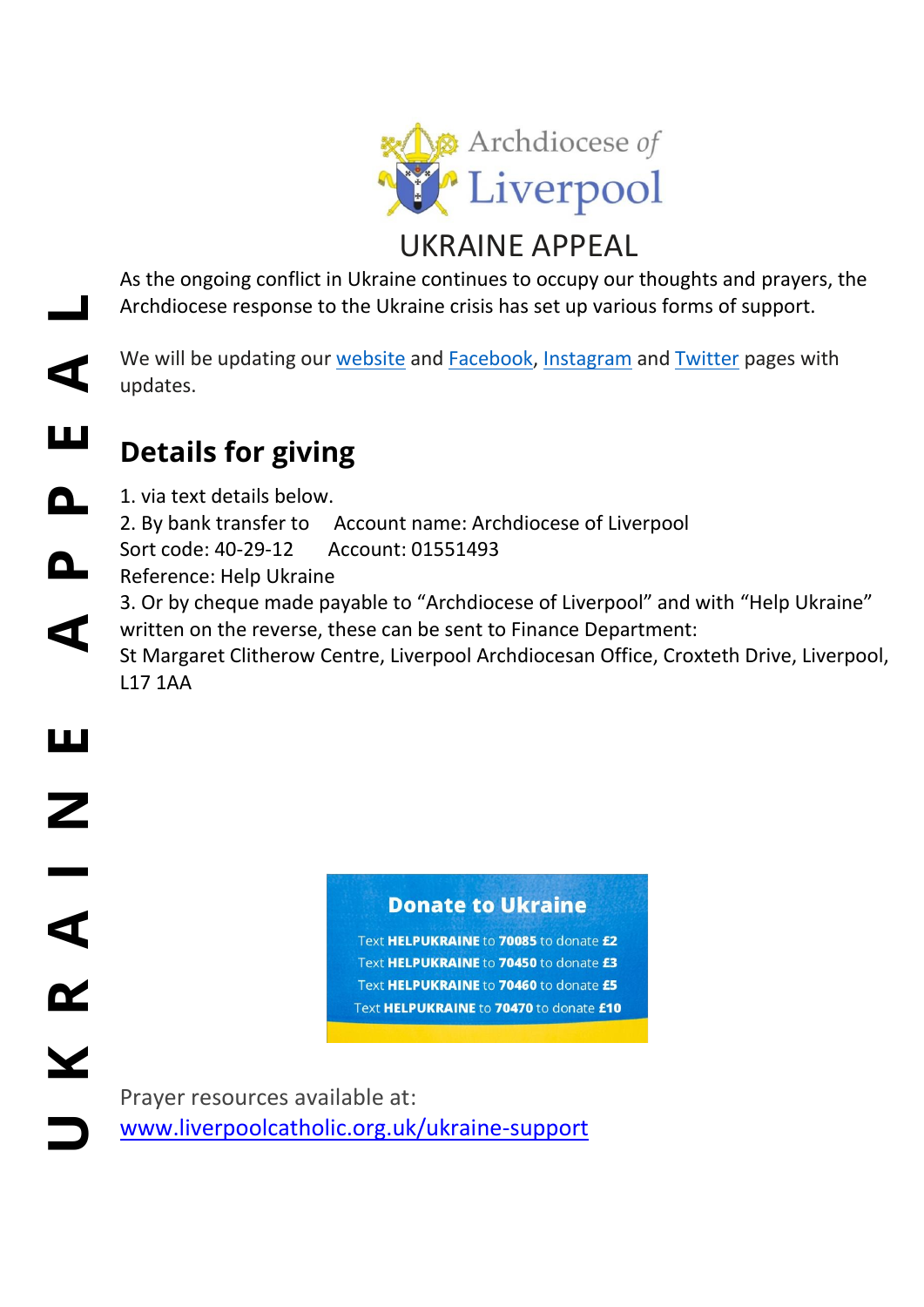

As the ongoing conflict in Ukraine continues to occupy our thoughts and prayers, the Archdiocese response to the Ukraine crisis has set up various forms of support.

We will be updating our [website](http://www.liverpoolcatholic.org.uk/ukraine-support) and [Facebook,](https://www.facebook.com/liverpoolarchdiocese) [Instagram](https://www.instagram.com/liverpoolarchdiocese/) and [Twitter](https://twitter.com/lpoolcatholic) pages with updates.

#### ш **Details for giving**

 $\blacktriangleleft$ 

Ш

Z

R A

 $\overline{\textbf{Y}}$ 

**U K R A I N E A P P E A L** 1. via text details below. Δ. 2. By bank transfer to Account name: Archdiocese of Liverpool Sort code: 40-29-12 Account: 01551493 n. Reference: Help Ukraine 3. Or by cheque made payable to "Archdiocese of Liverpool" and with "Help Ukraine"  $\blacktriangleleft$ written on the reverse, these can be sent to Finance Department: St Margaret Clitherow Centre, Liverpool Archdiocesan Office, Croxteth Drive, Liverpool, L17 1AA

**Donate to Ukraine** 

Text HELPUKRAINE to 70085 to donate £2 Text HELPUKRAINE to 70450 to donate £3 Text HELPUKRAINE to 70460 to donate £5 Text HELPUKRAINE to 70470 to donate £10

Prayer resources available at: [www.liverpoolcatholic.org.uk/ukraine-support](http://www.liverpoolcatholic.org.uk/ukraine-support)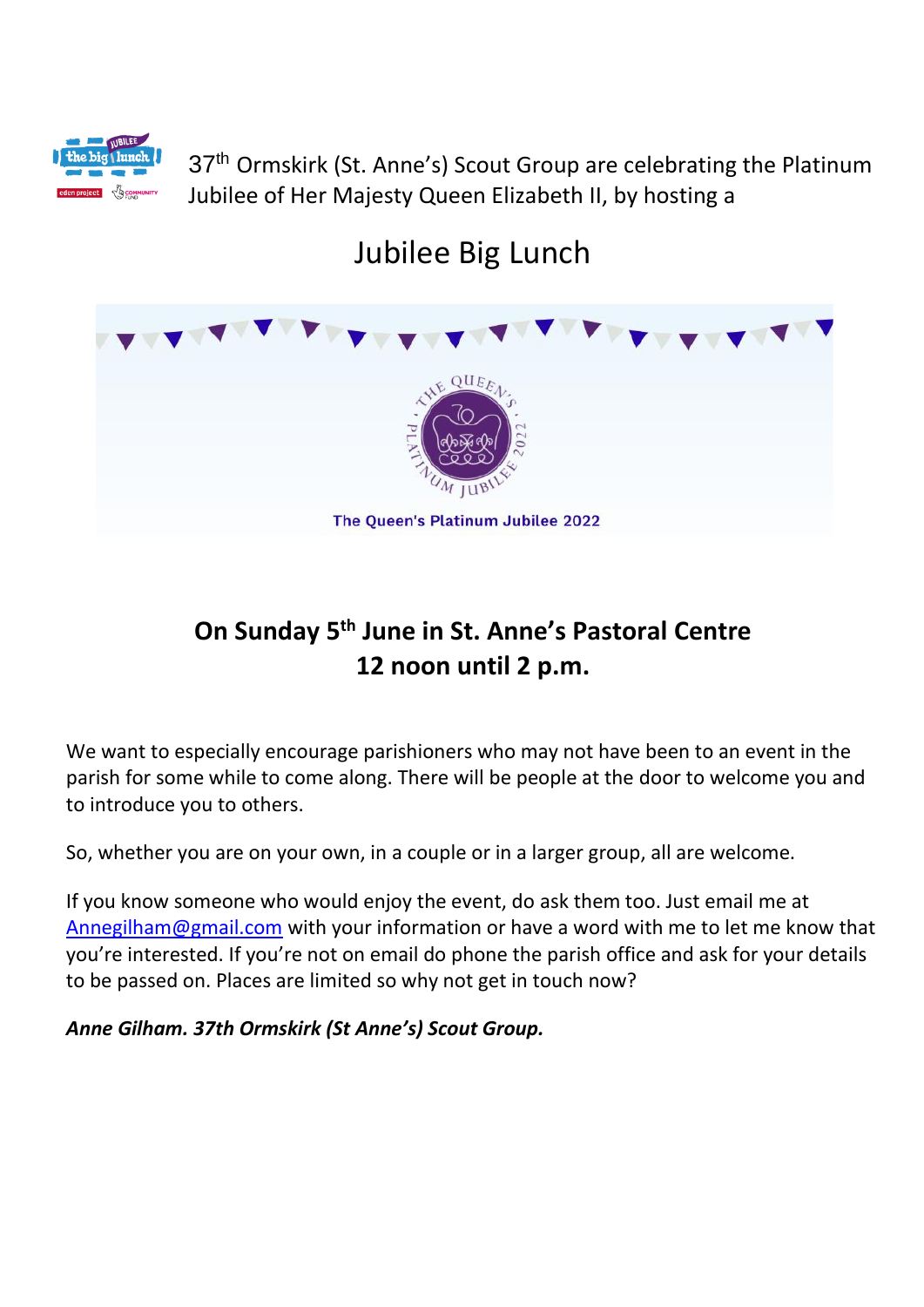

37<sup>th</sup> Ormskirk (St. Anne's) Scout Group are celebrating the Platinum Jubilee of Her Majesty Queen Elizabeth II, by hosting a

## Jubilee Big Lunch



## **On Sunday 5th June in St. Anne's Pastoral Centre 12 noon until 2 p.m.**

We want to especially encourage parishioners who may not have been to an event in the parish for some while to come along. There will be people at the door to welcome you and to introduce you to others.

So, whether you are on your own, in a couple or in a larger group, all are welcome.

If you know someone who would enjoy the event, do ask them too. Just email me at [Annegilham@gmail.com](mailto:Annegilham@gmail.com) with your information or have a word with me to let me know that you're interested. If you're not on email do phone the parish office and ask for your details to be passed on. Places are limited so why not get in touch now?

*Anne Gilham. 37th Ormskirk (St Anne's) Scout Group.*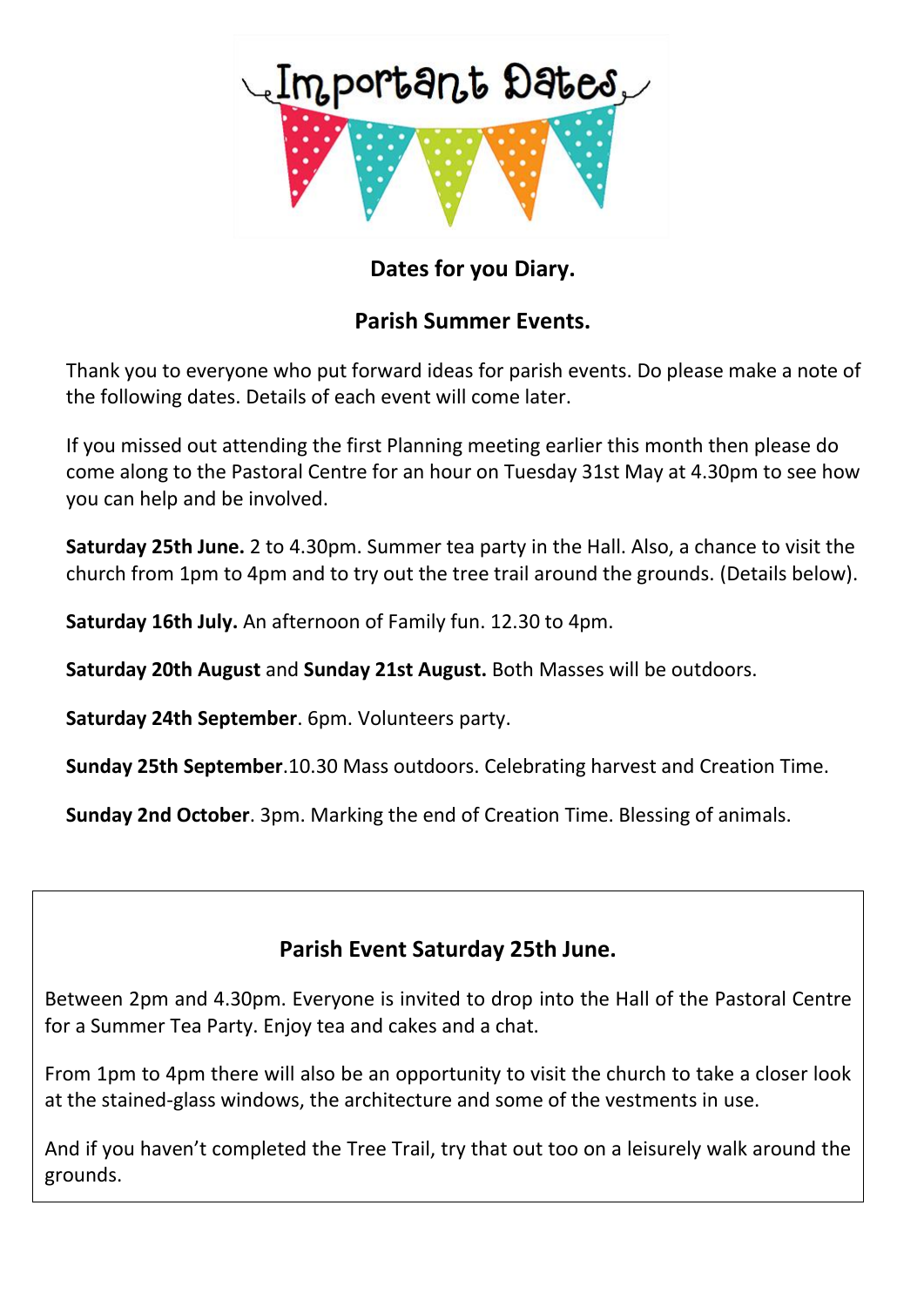

### **Dates for you Diary.**

#### **Parish Summer Events.**

Thank you to everyone who put forward ideas for parish events. Do please make a note of the following dates. Details of each event will come later.

If you missed out attending the first Planning meeting earlier this month then please do come along to the Pastoral Centre for an hour on Tuesday 31st May at 4.30pm to see how you can help and be involved.

**Saturday 25th June.** 2 to 4.30pm. Summer tea party in the Hall. Also, a chance to visit the church from 1pm to 4pm and to try out the tree trail around the grounds. (Details below).

**Saturday 16th July.** An afternoon of Family fun. 12.30 to 4pm.

**Saturday 20th August** and **Sunday 21st August.** Both Masses will be outdoors.

**Saturday 24th September**. 6pm. Volunteers party.

**Sunday 25th September**.10.30 Mass outdoors. Celebrating harvest and Creation Time.

**Sunday 2nd October**. 3pm. Marking the end of Creation Time. Blessing of animals.

#### **Parish Event Saturday 25th June.**

Between 2pm and 4.30pm. Everyone is invited to drop into the Hall of the Pastoral Centre for a Summer Tea Party. Enjoy tea and cakes and a chat.

From 1pm to 4pm there will also be an opportunity to visit the church to take a closer look at the stained-glass windows, the architecture and some of the vestments in use.

And if you haven't completed the Tree Trail, try that out too on a leisurely walk around the grounds.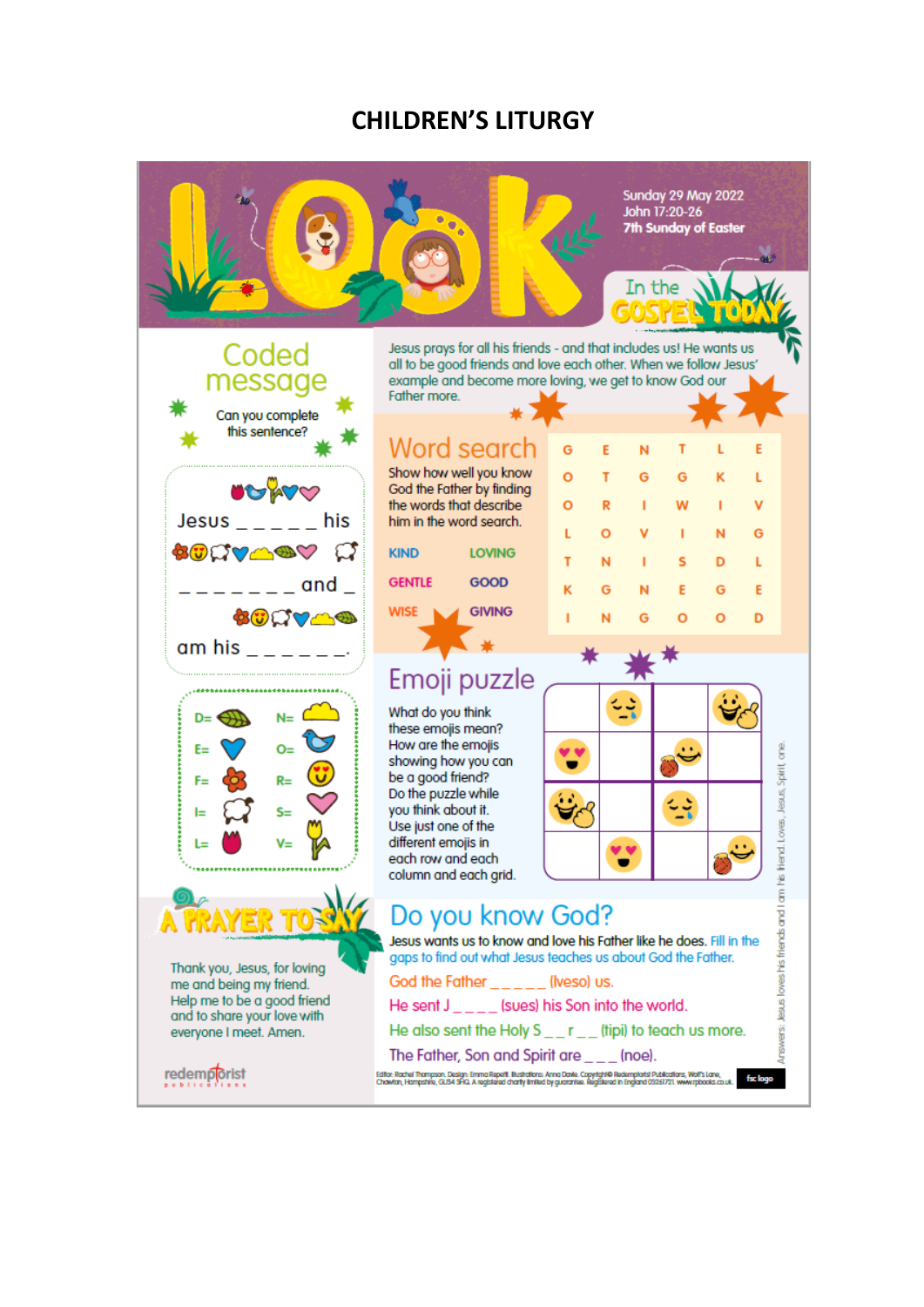#### **CHILDREN'S LITURGY**